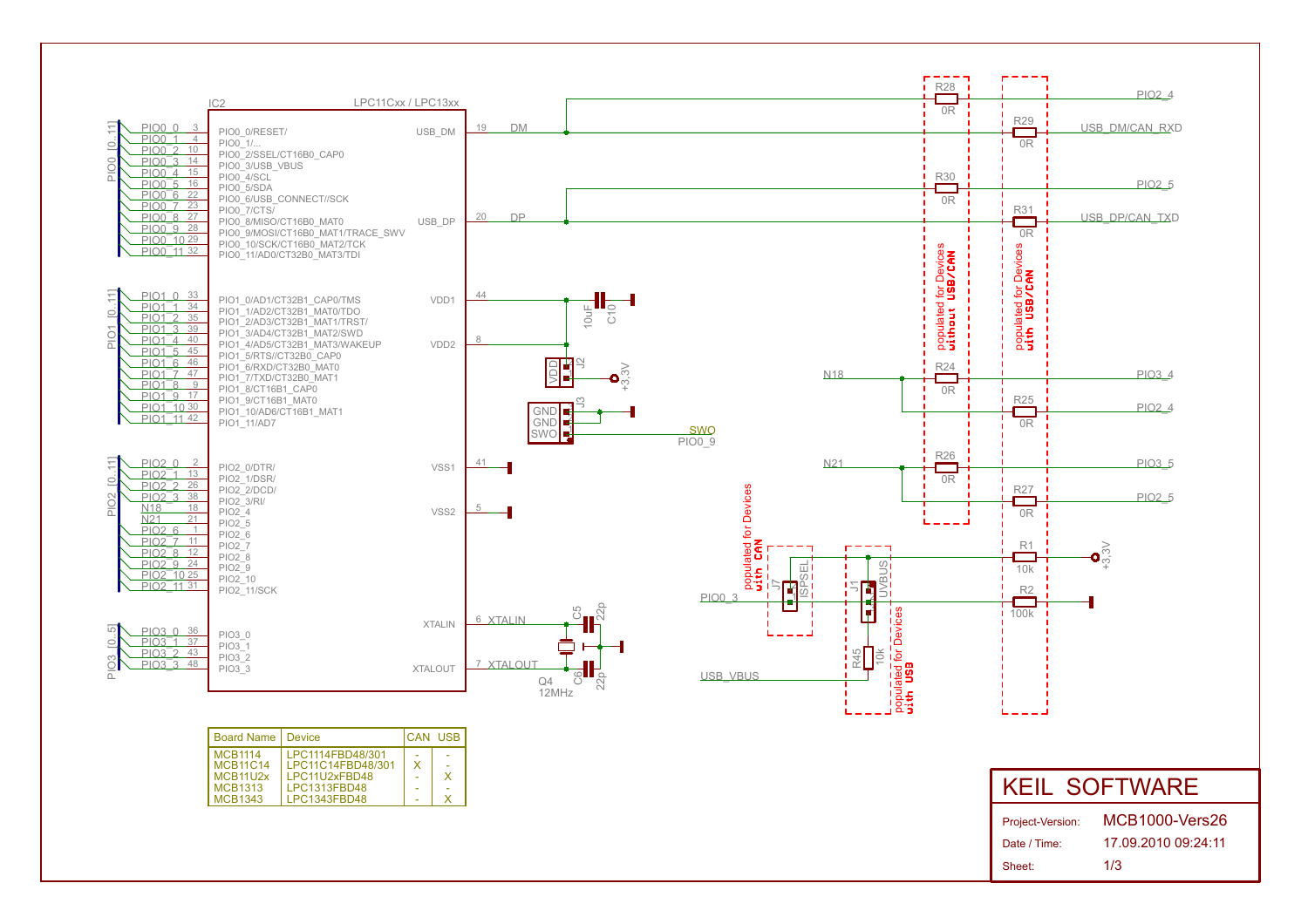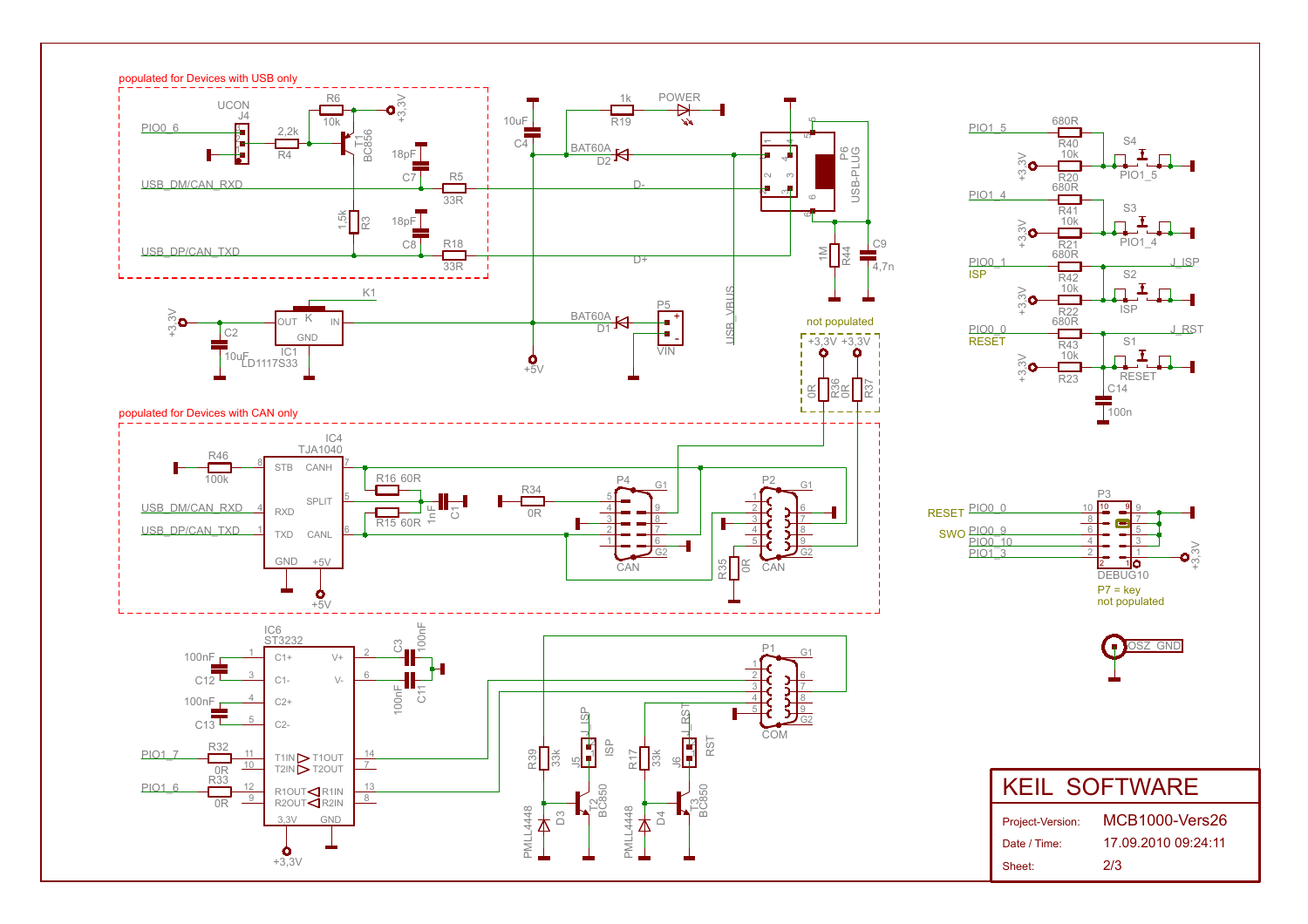